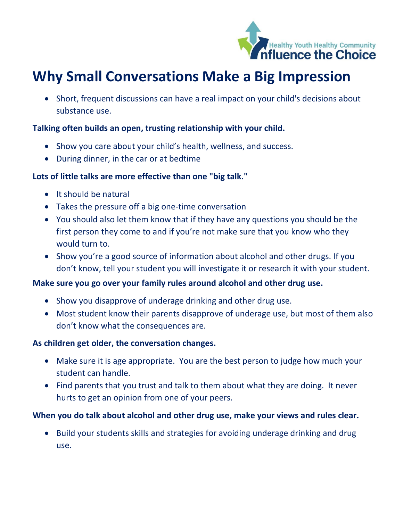

# **Why Small Conversations Make a Big Impression**

• Short, frequent discussions can have a real impact on your child's decisions about substance use.

## **Talking often builds an open, trusting relationship with your child.**

- Show you care about your child's health, wellness, and success.
- During dinner, in the car or at bedtime

#### **Lots of little talks are more effective than one "big talk."**

- It should be natural
- Takes the pressure off a big one-time conversation
- You should also let them know that if they have any questions you should be the first person they come to and if you're not make sure that you know who they would turn to.
- Show you're a good source of information about alcohol and other drugs. If you don't know, tell your student you will investigate it or research it with your student.

## **Make sure you go over your family rules around alcohol and other drug use.**

- Show you disapprove of underage drinking and other drug use.
- Most student know their parents disapprove of underage use, but most of them also don't know what the consequences are.

#### **As children get older, the conversation changes.**

- Make sure it is age appropriate. You are the best person to judge how much your student can handle.
- Find parents that you trust and talk to them about what they are doing. It never hurts to get an opinion from one of your peers.

## **When you do talk about alcohol and other drug use, make your views and rules clear.**

• Build your students skills and strategies for avoiding underage drinking and drug use.